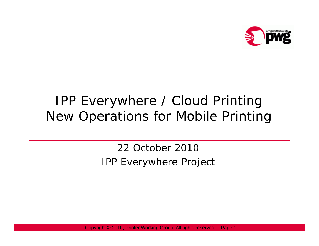

#### IPP Everywhere / Cloud Printing New Operations for Mobile Printing

22 October 2010IPP Everywhere Project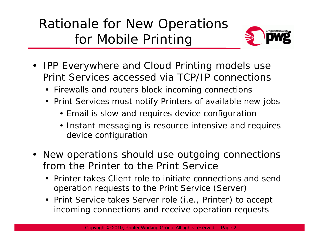## Rationale for New Operations for Mobile Printin g



- $\bullet$  IPP Everywhere and Cloud Printing models use Print Services accessed via TCP/IP connections
	- Firewalls and routers block incoming connections
	- Print Services must notify Printers of available new jobs
		- Email is slow and requires device configuration
		- Instant messaging is resource intensive and requires device confi guration
- New operations should use outgoing connections from the Printer to the Print Service
	- Printer takes Client role to initiate connections and send operation requests to the Print Service (Server)
	- Print Service takes Server role (i.e., Printer) to accept incoming connections and receive operation requests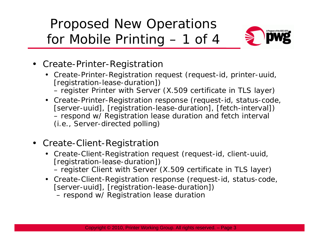# Proposed New Operations for Mobile Printin g – 1 of 4



- Create-Printer-Registration
	- Create-Printer-Registration request (request-id, printer-uuid, [registration-lease-duration])
		- register Printer with Server (X.509 certificate in TLS layer)
	- Create-Printer-Registration response (request-id, status-code, [server-uuid], [registration-lease-duration], [fetch-interval]) – respond w/ Registration lease duration and fetch interval (i.e., Server-directed polling)
- Create-Client-Registration
	- Create-Client-Registration request (request-id, client-uuid, [registration-lease-duration])
		- register Client with Server (X.509 certificate in TLS layer)
	- Create-Client-Registration response (request-id, status-code, [server-uuid], [registration-lease-duration])
		- respond w/ Registration lease duration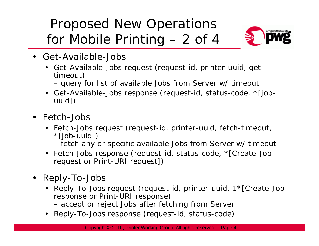# Proposed New Operations for Mobile Printin g – 2 of 4



- Get-Available-Jobs
	- Get-Available-Jobs request (request-id, printer-uuid, gettimeout)
		- query for list of available Jobs from Server w/ timeout
	- Get-Available-Jobs response (request-id, status-code, \*[jobuuid])
- Fetch-Jobs
	- Fetch-Jobs request (request-id, printer-uuid, fetch-timeout, \*[job-uuid])
		- fetch any or specific available Jobs from Server w/ timeout
	- Fetch-Jobs response (request-id, status-code, \*[Create-Job request or Print-URI request])
- Reply-To-Jobs
	- Reply-To-Jobs request (request-id, printer-uuid, 1\*[Create-Job response or Print-URI response)
		- accept or reject Jobs after fetching from Serve r
	- Reply-To-Jobs response (request-id, status-code)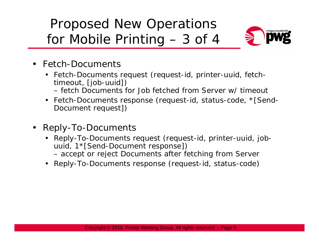# Proposed New Operations for Mobile Printin g – 3 of 4



- Fetch-Documents
	- Fetch-Documents request (request-id, printer-uuid, fetchtimeout, [job-uuid])
		- fetch Documents for Job fetched from Server w/ timeout
	- Fetch-Documents response (request-id, status-code, \*[Send-Document request])
- • Reply-To-Documents
	- Reply-To-Documents request (request-id, printer-uuid, jobuuid, 1\*[Send-Document response])
		- accept or reject Documents after fetching from Server
	- Reply-To-Documents response (request-id, status-code)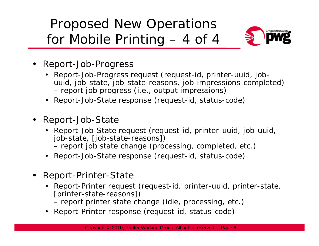# Proposed New Operations for Mobile Printin g – 4 of 4



- Report-Job-Progress
	- Report-Job-Progress request (request-id, printer-uuid, jobuuid, job-state, job-state-reasons, job-impressions-completed) – report job progress (i.e., output impressions)
	- Report-Job-State response (request-id, status-code)
- Report-Job-State
	- Report-Job-State request (request-id, printer-uuid, job-uuid, job-state, [job-state-reasons])
		- report job state change (processing, completed, etc.)
	- Report-Job-State response (request-id, status-code)
- Report-Printer-State
	- Report-Printer request (request-id, printer-uuid, printer-state, [printer-state-reasons])
		- report printer state change (idle, processing, etc.)
	- Report-Printer response (request-id, status-code)